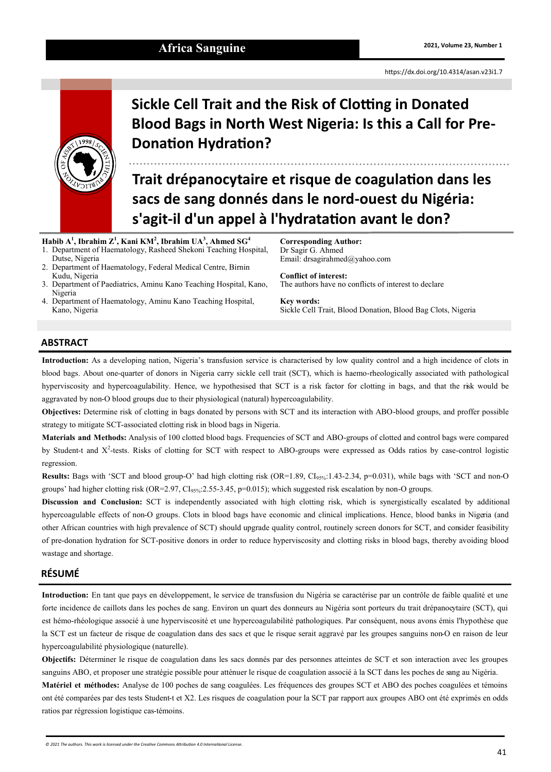# **2021, Volume 23, Number 1 Africa Sanguine**

<https://dx.doi.org/10.4314/asan.v23i1.7>



# **Sickle Cell Trait and the Risk of Clotting in Donated Blood Bags in North West Nigeria: Is this a Call for Pre-Donation Hydration?**

**Trait drépanocytaire et risque de coagulation dans les sacs de sang donnés dans le nord-ouest du Nigéria: s'agit-il d'un appel à l'hydratation avant le don?**

**Habib A<sup>1</sup> , Ibrahim Z<sup>1</sup> , Kani KM<sup>2</sup> , Ibrahim UA<sup>3</sup> , Ahmed SG<sup>4</sup>** 1. Department of Haematology, Rasheed Shekoni Teaching Hospital,

- Dutse, Nigeria 2. Department of Haematology, Federal Medical Centre, Birnin Kudu, Nigeria
- 3. Department of Paediatrics, Aminu Kano Teaching Hospital, Kano, Nigeria
- 4. Department of Haematology, Aminu Kano Teaching Hospital, Kano, Nigeria

**Corresponding Author:** Dr Sagir G. Ahmed Email: drsagirahmed@yahoo.com

**Conflict of interest:** The authors have no conflicts of interest to declare

**Key words:** Sickle Cell Trait, Blood Donation, Blood Bag Clots, Nigeria

# **ABSTRACT**

**Introduction:** As a developing nation, Nigeria's transfusion service is characterised by low quality control and a high incidence of clots in blood bags. About one-quarter of donors in Nigeria carry sickle cell trait (SCT), which is haemo-rheologically associated with pathological hyperviscosity and hypercoagulability. Hence, we hypothesised that SCT is a risk factor for clotting in bags, and that the risk would be aggravated by non-O blood groups due to their physiological (natural) hypercoagulability.

**Objectives:** Determine risk of clotting in bags donated by persons with SCT and its interaction with ABO-blood groups, and proffer possible strategy to mitigate SCT-associated clotting risk in blood bags in Nigeria.

**Materials and Methods:** Analysis of 100 clotted blood bags. Frequencies of SCT and ABO-groups of clotted and control bags were compared by Student-t and X<sup>2</sup>-tests. Risks of clotting for SCT with respect to ABO-groups were expressed as Odds ratios by case-control logistic regression.

**Results:** Bags with 'SCT and blood group-O' had high clotting risk (OR=1.89, CI<sub>95%</sub>:1.43-2.34, p=0.031), while bags with 'SCT and non-O groups' had higher clotting risk (OR=2.97, CI<sub>95%</sub>:2.55-3.45, p=0.015); which suggested risk escalation by non-O groups.

**Discussion and Conclusion:** SCT is independently associated with high clotting risk, which is synergistically escalated by additional hypercoagulable effects of non-O groups. Clots in blood bags have economic and clinical implications. Hence, blood banks in Nigeria (and other African countries with high prevalence of SCT) should upgrade quality control, routinely screen donors for SCT, and consider feasibility of pre-donation hydration for SCT-positive donors in order to reduce hyperviscosity and clotting risks in blood bags, thereby avoiding blood wastage and shortage.

# **RÉSUMÉ**

**Introduction:** En tant que pays en développement, le service de transfusion du Nigéria se caractérise par un contrôle de faible qualité et une forte incidence de caillots dans les poches de sang. Environ un quart des donneurs au Nigéria sont porteurs du trait drépanocytaire (SCT), qui est hémo-rhéologique associé à une hyperviscosité et une hypercoagulabilité pathologiques. Par conséquent, nous avons émis l'hypothèse que la SCT est un facteur de risque de coagulation dans des sacs et que le risque serait aggravé par les groupes sanguins non-O en raison de leur hypercoagulabilité physiologique (naturelle).

**Objectifs:** Déterminer le risque de coagulation dans les sacs donnés par des personnes atteintes de SCT et son interaction avec les groupes sanguins ABO, et proposer une stratégie possible pour atténuer le risque de coagulation associé à la SCT dans les poches de sang au Nigéria.

**Matériel et méthodes:** Analyse de 100 poches de sang coagulées. Les fréquences des groupes SCT et ABO des poches coagulées et témoins ont été comparées par des tests Student-t et X2. Les risques de coagulation pour la SCT par rapport aux groupes ABO ont été exprimés en odds ratios par régression logistique cas-témoins.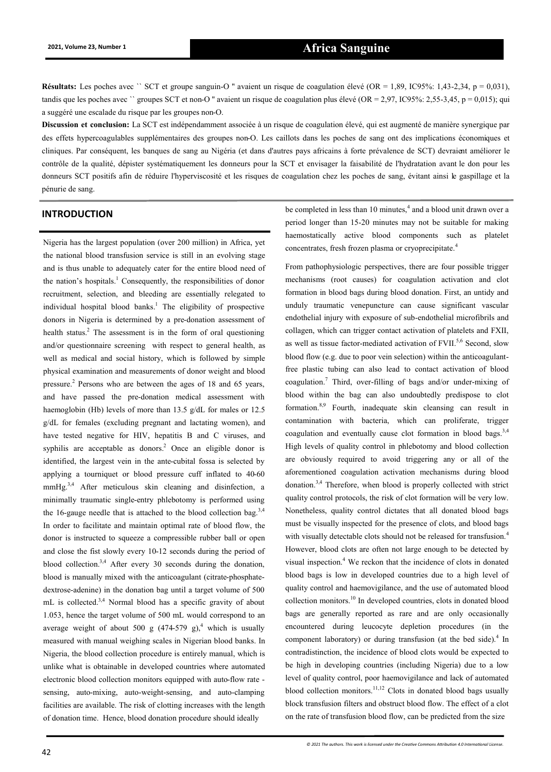# **2021, Volume 23, Number 1 Africa Sanguine**

**Résultats:** Les poches avec `` SCT et groupe sanguin-O '' avaient un risque de coagulation élevé (OR = 1,89, IC95%: 1,43-2,34, p = 0,031), tandis que les poches avec " groupes SCT et non-O " avaient un risque de coagulation plus élevé (OR = 2,97, IC95%: 2,55-3,45, p = 0,015); qui a suggéré une escalade du risque par les groupes non-O.

**Discussion et conclusion:** La SCT est indépendamment associée à un risque de coagulation élevé, qui est augmenté de manière synergique par des effets hypercoagulables supplémentaires des groupes non-O. Les caillots dans les poches de sang ont des implications économiques et cliniques. Par conséquent, les banques de sang au Nigéria (et dans d'autres pays africains à forte prévalence de SCT) devraient améliorer le contrôle de la qualité, dépister systématiquement les donneurs pour la SCT et envisager la faisabilité de l'hydratation avant le don pour les donneurs SCT positifs afin de réduire l'hyperviscosité et les risques de coagulation chez les poches de sang, évitant ainsi le gaspillage et la pénurie de sang.

# **INTRODUCTION**

Nigeria has the largest population (over 200 million) in Africa, yet the national blood transfusion service is still in an evolving stage and is thus unable to adequately cater for the entire blood need of the nation's hospitals.<sup>1</sup> Consequently, the responsibilities of donor recruitment, selection, and bleeding are essentially relegated to individual hospital blood banks.<sup>1</sup> The eligibility of prospective donors in Nigeria is determined by a pre-donation assessment of health status.<sup>2</sup> The assessment is in the form of oral questioning and/or questionnaire screening with respect to general health, as well as medical and social history, which is followed by simple physical examination and measurements of donor weight and blood pressure.<sup>2</sup> Persons who are between the ages of 18 and 65 years, and have passed the pre-donation medical assessment with haemoglobin (Hb) levels of more than 13.5 g/dL for males or 12.5 g/dL for females (excluding pregnant and lactating women), and have tested negative for HIV, hepatitis B and C viruses, and syphilis are acceptable as donors.<sup>2</sup> Once an eligible donor is identified, the largest vein in the ante-cubital fossa is selected by applying a tourniquet or blood pressure cuff inflated to 40-60 mmHg.<sup>3,4</sup> After meticulous skin cleaning and disinfection, a minimally traumatic single-entry phlebotomy is performed using the 16-gauge needle that is attached to the blood collection bag.<sup>3,4</sup> In order to facilitate and maintain optimal rate of blood flow, the donor is instructed to squeeze a compressible rubber ball or open and close the fist slowly every 10-12 seconds during the period of blood collection.3,4 After every 30 seconds during the donation, blood is manually mixed with the anticoagulant (citrate-phosphatedextrose-adenine) in the donation bag until a target volume of 500 mL is collected.<sup>3,4</sup> Normal blood has a specific gravity of about 1.053, hence the target volume of 500 mL would correspond to an average weight of about 500 g  $(474-579 \text{ g})$ ,<sup>4</sup> which is usually measured with manual weighing scales in Nigerian blood banks. In Nigeria, the blood collection procedure is entirely manual, which is unlike what is obtainable in developed countries where automated electronic blood collection monitors equipped with auto-flow rate sensing, auto-mixing, auto-weight-sensing, and auto-clamping facilities are available. The risk of clotting increases with the length of donation time. Hence, blood donation procedure should ideally

be completed in less than 10 minutes,<sup>4</sup> and a blood unit drawn over a period longer than 15-20 minutes may not be suitable for making haemostatically active blood components such as platelet concentrates, fresh frozen plasma or cryoprecipitate.<sup>4</sup>

From pathophysiologic perspectives, there are four possible trigger mechanisms (root causes) for coagulation activation and clot formation in blood bags during blood donation. First, an untidy and unduly traumatic venepuncture can cause significant vascular endothelial injury with exposure of sub-endothelial microfibrils and collagen, which can trigger contact activation of platelets and FXII, as well as tissue factor-mediated activation of FVII.<sup>5,6</sup> Second, slow blood flow (e.g. due to poor vein selection) within the anticoagulantfree plastic tubing can also lead to contact activation of blood coagulation.<sup>7</sup> Third, over-filling of bags and/or under-mixing of blood within the bag can also undoubtedly predispose to clot formation.8,9 Fourth, inadequate skin cleansing can result in contamination with bacteria, which can proliferate, trigger coagulation and eventually cause clot formation in blood bags.<sup>3,4</sup> High levels of quality control in phlebotomy and blood collection are obviously required to avoid triggering any or all of the aforementioned coagulation activation mechanisms during blood donation.3,4 Therefore, when blood is properly collected with strict quality control protocols, the risk of clot formation will be very low. Nonetheless, quality control dictates that all donated blood bags must be visually inspected for the presence of clots, and blood bags with visually detectable clots should not be released for transfusion.<sup>4</sup> However, blood clots are often not large enough to be detected by visual inspection.<sup>4</sup> We reckon that the incidence of clots in donated blood bags is low in developed countries due to a high level of quality control and haemovigilance, and the use of automated blood collection monitors.<sup>10</sup> In developed countries, clots in donated blood bags are generally reported as rare and are only occasionally encountered during leucocyte depletion procedures (in the component laboratory) or during transfusion (at the bed side). $4$  In contradistinction, the incidence of blood clots would be expected to be high in developing countries (including Nigeria) due to a low level of quality control, poor haemovigilance and lack of automated blood collection monitors.<sup>11,12</sup> Clots in donated blood bags usually block transfusion filters and obstruct blood flow. The effect of a clot on the rate of transfusion blood flow, can be predicted from the size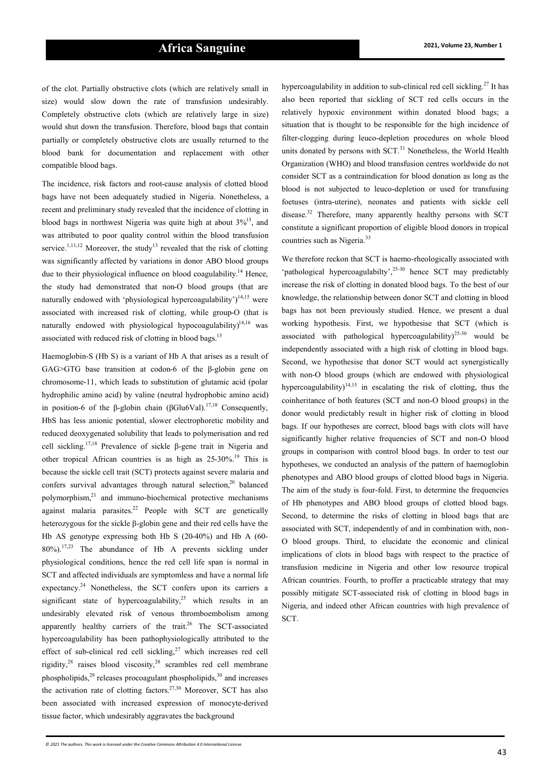of the clot. Partially obstructive clots (which are relatively small in size) would slow down the rate of transfusion undesirably. Completely obstructive clots (which are relatively large in size) would shut down the transfusion. Therefore, blood bags that contain partially or completely obstructive clots are usually returned to the blood bank for documentation and replacement with other compatible blood bags.

The incidence, risk factors and root-cause analysis of clotted blood bags have not been adequately studied in Nigeria. Nonetheless, a recent and preliminary study revealed that the incidence of clotting in blood bags in northwest Nigeria was quite high at about  $3\frac{1}{3}$ , and was attributed to poor quality control within the blood transfusion service.<sup>1,11,12</sup> Moreover, the study<sup>13</sup> revealed that the risk of clotting was significantly affected by variations in donor ABO blood groups due to their physiological influence on blood coagulability.<sup>14</sup> Hence, the study had demonstrated that non-O blood groups (that are naturally endowed with 'physiological hypercoagulability')<sup>14,15</sup> were associated with increased risk of clotting, while group-O (that is naturally endowed with physiological hypocoagulability) $14,16$  was associated with reduced risk of clotting in blood bags.<sup>13</sup>

Haemoglobin-S (Hb S) is a variant of Hb A that arises as a result of GAG>GTG base transition at codon-6 of the β-globin gene on chromosome-11, which leads to substitution of glutamic acid (polar hydrophilic amino acid) by valine (neutral hydrophobic amino acid) in position-6 of the β-globin chain (βGlu6Val).<sup>17,18</sup> Consequently, HbS has less anionic potential, slower electrophoretic mobility and reduced deoxygenated solubility that leads to polymerisation and red cell sickling.17,18 Prevalence of sickle β-gene trait in Nigeria and other tropical African countries is as high as 25-30%.<sup>19</sup> This is because the sickle cell trait (SCT) protects against severe malaria and confers survival advantages through natural selection,<sup>20</sup> balanced polymorphism,<sup>21</sup> and immuno-biochemical protective mechanisms against malaria parasites.<sup>22</sup> People with SCT are genetically heterozygous for the sickle β-globin gene and their red cells have the Hb AS genotype expressing both Hb S (20-40%) and Hb A (60- 80%).17,23 The abundance of Hb A prevents sickling under physiological conditions, hence the red cell life span is normal in SCT and affected individuals are symptomless and have a normal life expectancy.<sup>24</sup> Nonetheless, the SCT confers upon its carriers a significant state of hypercoagulability,<sup>25</sup> which results in an undesirably elevated risk of venous thromboembolism among apparently healthy carriers of the trait.<sup>26</sup> The SCT-associated hypercoagulability has been pathophysiologically attributed to the effect of sub-clinical red cell sickling, $27$  which increases red cell rigidity,<sup>28</sup> raises blood viscosity,<sup>28</sup> scrambles red cell membrane phospholipids, $29$  releases procoagulant phospholipids, $30$  and increases the activation rate of clotting factors.<sup>27,30</sup> Moreover, SCT has also been associated with increased expression of monocyte-derived tissue factor, which undesirably aggravates the background

hypercoagulability in addition to sub-clinical red cell sickling.<sup>27</sup> It has also been reported that sickling of SCT red cells occurs in the relatively hypoxic environment within donated blood bags; a situation that is thought to be responsible for the high incidence of filter-clogging during leuco-depletion procedures on whole blood units donated by persons with SCT.<sup>31</sup> Nonetheless, the World Health Organization (WHO) and blood transfusion centres worldwide do not consider SCT as a contraindication for blood donation as long as the blood is not subjected to leuco-depletion or used for transfusing foetuses (intra-uterine), neonates and patients with sickle cell disease.<sup>32</sup> Therefore, many apparently healthy persons with SCT constitute a significant proportion of eligible blood donors in tropical countries such as Nigeria.<sup>33</sup>

We therefore reckon that SCT is haemo-rheologically associated with 'pathological hypercoagulabilty',<sup>25</sup>-<sup>30</sup> hence SCT may predictably increase the risk of clotting in donated blood bags. To the best of our knowledge, the relationship between donor SCT and clotting in blood bags has not been previously studied. Hence, we present a dual working hypothesis. First, we hypothesise that SCT (which is associated with pathological hypercoagulability)<sup>25-30</sup> would be independently associated with a high risk of clotting in blood bags. Second, we hypothesise that donor SCT would act synergistically with non-O blood groups (which are endowed with physiological hypercoagulability)<sup>14,15</sup> in escalating the risk of clotting, thus the coinheritance of both features (SCT and non-O blood groups) in the donor would predictably result in higher risk of clotting in blood bags. If our hypotheses are correct, blood bags with clots will have significantly higher relative frequencies of SCT and non-O blood groups in comparison with control blood bags. In order to test our hypotheses, we conducted an analysis of the pattern of haemoglobin phenotypes and ABO blood groups of clotted blood bags in Nigeria. The aim of the study is four-fold. First, to determine the frequencies of Hb phenotypes and ABO blood groups of clotted blood bags. Second, to determine the risks of clotting in blood bags that are associated with SCT, independently of and in combination with, non-O blood groups. Third, to elucidate the economic and clinical implications of clots in blood bags with respect to the practice of transfusion medicine in Nigeria and other low resource tropical African countries. Fourth, to proffer a practicable strategy that may possibly mitigate SCT-associated risk of clotting in blood bags in Nigeria, and indeed other African countries with high prevalence of SCT.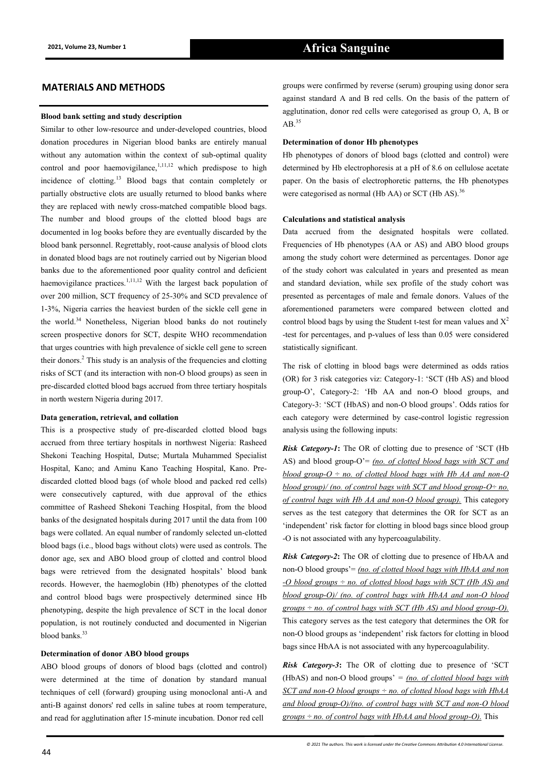## **MATERIALS AND METHODS**

## **Blood bank setting and study description**

Similar to other low-resource and under-developed countries, blood donation procedures in Nigerian blood banks are entirely manual without any automation within the context of sub-optimal quality control and poor haemovigilance, $1,11,12$  which predispose to high incidence of clotting.<sup>13</sup> Blood bags that contain completely or partially obstructive clots are usually returned to blood banks where they are replaced with newly cross-matched compatible blood bags. The number and blood groups of the clotted blood bags are documented in log books before they are eventually discarded by the blood bank personnel. Regrettably, root-cause analysis of blood clots in donated blood bags are not routinely carried out by Nigerian blood banks due to the aforementioned poor quality control and deficient haemovigilance practices.<sup>1,11,12</sup> With the largest back population of over 200 million, SCT frequency of 25-30% and SCD prevalence of 1-3%, Nigeria carries the heaviest burden of the sickle cell gene in the world.<sup>34</sup> Nonetheless, Nigerian blood banks do not routinely screen prospective donors for SCT, despite WHO recommendation that urges countries with high prevalence of sickle cell gene to screen their donors. $<sup>2</sup>$  This study is an analysis of the frequencies and clotting</sup> risks of SCT (and its interaction with non-O blood groups) as seen in pre-discarded clotted blood bags accrued from three tertiary hospitals in north western Nigeria during 2017.

#### **Data generation, retrieval, and collation**

This is a prospective study of pre-discarded clotted blood bags accrued from three tertiary hospitals in northwest Nigeria: Rasheed Shekoni Teaching Hospital, Dutse; Murtala Muhammed Specialist Hospital, Kano; and Aminu Kano Teaching Hospital, Kano. Prediscarded clotted blood bags (of whole blood and packed red cells) were consecutively captured, with due approval of the ethics committee of Rasheed Shekoni Teaching Hospital, from the blood banks of the designated hospitals during 2017 until the data from 100 bags were collated. An equal number of randomly selected un-clotted blood bags (i.e., blood bags without clots) were used as controls. The donor age, sex and ABO blood group of clotted and control blood bags were retrieved from the designated hospitals' blood bank records. However, the haemoglobin (Hb) phenotypes of the clotted and control blood bags were prospectively determined since Hb phenotyping, despite the high prevalence of SCT in the local donor population, is not routinely conducted and documented in Nigerian blood banks.<sup>33</sup>

## **Determination of donor ABO blood groups**

ABO blood groups of donors of blood bags (clotted and control) were determined at the time of donation by standard manual techniques of cell (forward) grouping using monoclonal anti-A and anti-B against donors' red cells in saline tubes at room temperature, and read for agglutination after 15-minute incubation. Donor red cell

### **Determination of donor Hb phenotypes**

Hb phenotypes of donors of blood bags (clotted and control) were determined by Hb electrophoresis at a pH of 8.6 on cellulose acetate paper. On the basis of electrophoretic patterns, the Hb phenotypes were categorised as normal (Hb AA) or SCT (Hb AS).<sup>36</sup>

### **Calculations and statistical analysis**

Data accrued from the designated hospitals were collated. Frequencies of Hb phenotypes (AA or AS) and ABO blood groups among the study cohort were determined as percentages. Donor age of the study cohort was calculated in years and presented as mean and standard deviation, while sex profile of the study cohort was presented as percentages of male and female donors. Values of the aforementioned parameters were compared between clotted and control blood bags by using the Student t-test for mean values and  $X^2$ -test for percentages, and p-values of less than 0.05 were considered statistically significant.

The risk of clotting in blood bags were determined as odds ratios (OR) for 3 risk categories viz: Category-1: 'SCT (Hb AS) and blood group-O', Category-2: 'Hb AA and non-O blood groups, and Category-3: 'SCT (HbAS) and non-O blood groups'. Odds ratios for each category were determined by case-control logistic regression analysis using the following inputs:

*Risk Category-1***:** The OR of clotting due to presence of 'SCT (Hb AS) and blood group-O'= *(no. of clotted blood bags with SCT and*   $\frac{b \cdot b}{c}$  *blood group*- $O \div no$ *. of clotted blood bags with Hb AA and non*- $O$ *blood group)/ (no. of control bags with SCT and blood group-O÷ no. of control bags with Hb AA and non-O blood group).* This category serves as the test category that determines the OR for SCT as an 'independent' risk factor for clotting in blood bags since blood group -O is not associated with any hypercoagulability.

*Risk Category-2***:** The OR of clotting due to presence of HbAA and non-O blood groups'= *(no. of clotted blood bags with HbAA and non -O blood groups ÷ no. of clotted blood bags with SCT (Hb AS) and blood group-O)/ (no. of control bags with HbAA and non-O blood groups ÷ no. of control bags with SCT (Hb AS) and blood group-O).* This category serves as the test category that determines the OR for non-O blood groups as 'independent' risk factors for clotting in blood bags since HbAA is not associated with any hypercoagulability.

*Risk Category-3***:** The OR of clotting due to presence of 'SCT (HbAS) and non-O blood groups' *= (no. of clotted blood bags with SCT and non-O blood groups ÷ no. of clotted blood bags with HbAA and blood group-O)/(no. of control bags with SCT and non-O blood groups ÷ no. of control bags with HbAA and blood group-O).* This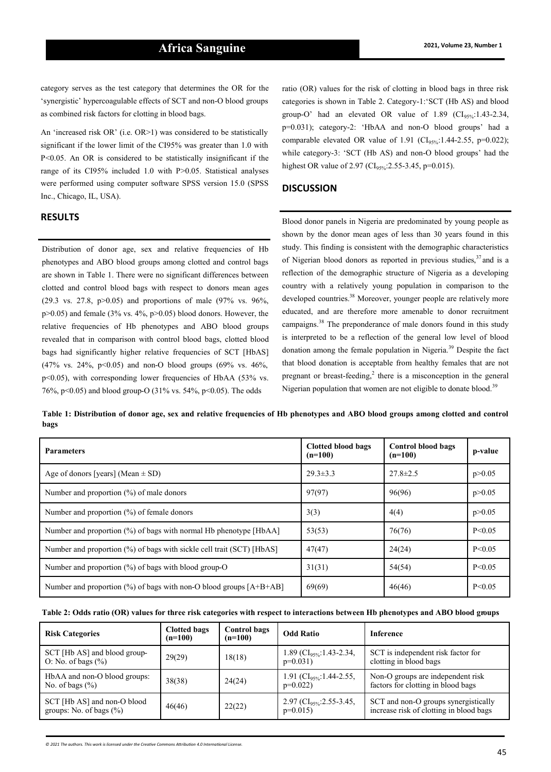category serves as the test category that determines the OR for the 'synergistic' hypercoagulable effects of SCT and non-O blood groups as combined risk factors for clotting in blood bags.

An 'increased risk OR' (i.e. OR>1) was considered to be statistically significant if the lower limit of the CI95% was greater than 1.0 with P<0.05. An OR is considered to be statistically insignificant if the range of its CI95% included 1.0 with P>0.05. Statistical analyses were performed using computer software SPSS version 15.0 (SPSS Inc., Chicago, IL, USA).

# **RESULTS**

Distribution of donor age, sex and relative frequencies of Hb phenotypes and ABO blood groups among clotted and control bags are shown in Table 1. There were no significant differences between clotted and control blood bags with respect to donors mean ages (29.3 vs. 27.8,  $p > 0.05$ ) and proportions of male (97% vs. 96%,  $p>0.05$ ) and female (3% vs. 4%,  $p>0.05$ ) blood donors. However, the relative frequencies of Hb phenotypes and ABO blood groups revealed that in comparison with control blood bags, clotted blood bags had significantly higher relative frequencies of SCT [HbAS] (47% vs. 24%, p<0.05) and non-O blood groups (69% vs. 46%, p<0.05), with corresponding lower frequencies of HbAA (53% vs. 76%, p<0.05) and blood group-O (31% vs. 54%, p<0.05). The odds

ratio (OR) values for the risk of clotting in blood bags in three risk categories is shown in Table 2. Category-1:'SCT (Hb AS) and blood group-O' had an elevated OR value of  $1.89$  (CI<sub>95%</sub>:1.43-2.34, p=0.031); category-2: 'HbAA and non-O blood groups' had a comparable elevated OR value of 1.91 (CI<sub>95%</sub>:1.44-2.55, p=0.022); while category-3: 'SCT (Hb AS) and non-O blood groups' had the highest OR value of 2.97 (CI<sub>95%</sub>: 2.55-3.45, p=0.015).

## **DISCUSSION**

Blood donor panels in Nigeria are predominated by young people as shown by the donor mean ages of less than 30 years found in this study. This finding is consistent with the demographic characteristics of Nigerian blood donors as reported in previous studies,  $37$  and is a reflection of the demographic structure of Nigeria as a developing country with a relatively young population in comparison to the developed countries.<sup>38</sup> Moreover, younger people are relatively more educated, and are therefore more amenable to donor recruitment campaigns.<sup>38</sup> The preponderance of male donors found in this study is interpreted to be a reflection of the general low level of blood donation among the female population in Nigeria.<sup>39</sup> Despite the fact that blood donation is acceptable from healthy females that are not pregnant or breast-feeding,<sup>2</sup> there is a misconception in the general Nigerian population that women are not eligible to donate blood.<sup>39</sup>

**Table 1: Distribution of donor age, sex and relative frequencies of Hb phenotypes and ABO blood groups among clotted and control bags**

| <b>Parameters</b>                                                              | <b>Clotted blood bags</b><br>$(n=100)$ | <b>Control blood bags</b><br>$(n=100)$ | p-value  |
|--------------------------------------------------------------------------------|----------------------------------------|----------------------------------------|----------|
| Age of donors [years] (Mean $\pm$ SD)                                          | $29.3 \pm 3.3$                         | $27.8 \pm 2.5$                         | p > 0.05 |
| Number and proportion $(\%)$ of male donors                                    | 97(97)                                 | 96(96)                                 | p > 0.05 |
| Number and proportion $(\%)$ of female donors                                  | 3(3)                                   | 4(4)                                   | p > 0.05 |
| Number and proportion (%) of bags with normal Hb phenotype [HbAA]              | 53(53)                                 | 76(76)                                 | P < 0.05 |
| Number and proportion (%) of bags with sickle cell trait (SCT) [HbAS]          | 47(47)                                 | 24(24)                                 | P < 0.05 |
| Number and proportion $(\%)$ of bags with blood group-O                        | 31(31)                                 | 54(54)                                 | P < 0.05 |
| Number and proportion $\frac{9}{6}$ of bags with non-O blood groups $[A+B+AB]$ | 69(69)                                 | 46(46)                                 | P < 0.05 |

|  |  |  | Table 2: Odds ratio (OR) values for three risk categories with respect to interactions between Hb phenotypes and ABO blood groups |  |  |
|--|--|--|-----------------------------------------------------------------------------------------------------------------------------------|--|--|
|--|--|--|-----------------------------------------------------------------------------------------------------------------------------------|--|--|

| <b>Risk Categories</b>                                    | <b>Clotted bags</b><br>$(n=100)$ | <b>Control bags</b><br>$(n=100)$ | <b>Odd Ratio</b>                                 | <b>Inference</b>                                                                |
|-----------------------------------------------------------|----------------------------------|----------------------------------|--------------------------------------------------|---------------------------------------------------------------------------------|
| SCT [Hb AS] and blood group-<br>O: No. of bags $(\%)$     | 29(29)                           | 18(18)                           | 1.89 (CI <sub>95%</sub> :1.43-2.34,<br>$p=0.031$ | SCT is independent risk factor for<br>clotting in blood bags                    |
| HbAA and non-O blood groups:<br>No. of bags $(\% )$       | 38(38)                           | 24(24)                           | 1.91 (CI <sub>95%</sub> :1.44-2.55,<br>$p=0.022$ | Non-O groups are independent risk<br>factors for clotting in blood bags         |
| SCT [Hb AS] and non-O blood<br>groups: No. of bags $(\%)$ | 46(46)                           | 22(22)                           | 2.97 (CI <sub>95%</sub> :2.55-3.45,<br>$p=0.015$ | SCT and non-O groups synergistically<br>increase risk of clotting in blood bags |

*© 2021 The authors. This work is licensed under the Creative Commons Attribution 4.0 International License.*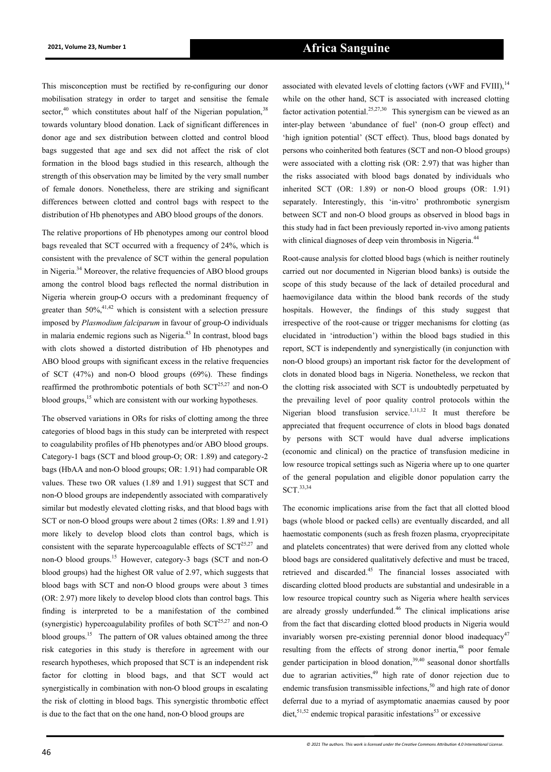This misconception must be rectified by re-configuring our donor mobilisation strategy in order to target and sensitise the female sector,<sup>40</sup> which constitutes about half of the Nigerian population,  $38$ towards voluntary blood donation. Lack of significant differences in donor age and sex distribution between clotted and control blood bags suggested that age and sex did not affect the risk of clot formation in the blood bags studied in this research, although the strength of this observation may be limited by the very small number of female donors. Nonetheless, there are striking and significant differences between clotted and control bags with respect to the distribution of Hb phenotypes and ABO blood groups of the donors.

The relative proportions of Hb phenotypes among our control blood bags revealed that SCT occurred with a frequency of 24%, which is consistent with the prevalence of SCT within the general population in Nigeria.<sup>34</sup> Moreover, the relative frequencies of ABO blood groups among the control blood bags reflected the normal distribution in Nigeria wherein group-O occurs with a predominant frequency of greater than  $50\%,^{41,42}$  which is consistent with a selection pressure imposed by *Plasmodium falciparum* in favour of group-O individuals in malaria endemic regions such as Nigeria.<sup>43</sup> In contrast, blood bags with clots showed a distorted distribution of Hb phenotypes and ABO blood groups with significant excess in the relative frequencies of SCT (47%) and non-O blood groups (69%). These findings reaffirmed the prothrombotic potentials of both  $SCT^{25,27}$  and non-O blood groups,<sup>15</sup> which are consistent with our working hypotheses.

The observed variations in ORs for risks of clotting among the three categories of blood bags in this study can be interpreted with respect to coagulability profiles of Hb phenotypes and/or ABO blood groups. Category-1 bags (SCT and blood group-O; OR: 1.89) and category-2 bags (HbAA and non-O blood groups; OR: 1.91) had comparable OR values. These two OR values (1.89 and 1.91) suggest that SCT and non-O blood groups are independently associated with comparatively similar but modestly elevated clotting risks, and that blood bags with SCT or non-O blood groups were about 2 times (ORs: 1.89 and 1.91) more likely to develop blood clots than control bags, which is consistent with the separate hypercoagulable effects of  $SCT^{25,27}$  and non-O blood groups.<sup>15</sup> However, category-3 bags (SCT and non-O blood groups) had the highest OR value of 2.97, which suggests that blood bags with SCT and non-O blood groups were about 3 times (OR: 2.97) more likely to develop blood clots than control bags. This finding is interpreted to be a manifestation of the combined (synergistic) hypercoagulability profiles of both  $SCT^{25,27}$  and non-O blood groups.<sup>15</sup> The pattern of OR values obtained among the three risk categories in this study is therefore in agreement with our research hypotheses, which proposed that SCT is an independent risk factor for clotting in blood bags, and that SCT would act synergistically in combination with non-O blood groups in escalating the risk of clotting in blood bags. This synergistic thrombotic effect is due to the fact that on the one hand, non-O blood groups are

associated with elevated levels of clotting factors (vWF and FVIII),<sup>14</sup> while on the other hand, SCT is associated with increased clotting factor activation potential.<sup>25,27,30</sup> This synergism can be viewed as an inter-play between 'abundance of fuel' (non-O group effect) and 'high ignition potential' (SCT effect). Thus, blood bags donated by persons who coinherited both features (SCT and non-O blood groups) were associated with a clotting risk (OR: 2.97) that was higher than the risks associated with blood bags donated by individuals who inherited SCT (OR: 1.89) or non-O blood groups (OR: 1.91) separately. Interestingly, this 'in-vitro' prothrombotic synergism between SCT and non-O blood groups as observed in blood bags in this study had in fact been previously reported in-vivo among patients with clinical diagnoses of deep vein thrombosis in Nigeria.<sup>44</sup>

Root-cause analysis for clotted blood bags (which is neither routinely carried out nor documented in Nigerian blood banks) is outside the scope of this study because of the lack of detailed procedural and haemovigilance data within the blood bank records of the study hospitals. However, the findings of this study suggest that irrespective of the root-cause or trigger mechanisms for clotting (as elucidated in 'introduction') within the blood bags studied in this report, SCT is independently and synergistically (in conjunction with non-O blood groups) an important risk factor for the development of clots in donated blood bags in Nigeria. Nonetheless, we reckon that the clotting risk associated with SCT is undoubtedly perpetuated by the prevailing level of poor quality control protocols within the Nigerian blood transfusion service.<sup>1,11,12</sup> It must therefore be appreciated that frequent occurrence of clots in blood bags donated by persons with SCT would have dual adverse implications (economic and clinical) on the practice of transfusion medicine in low resource tropical settings such as Nigeria where up to one quarter of the general population and eligible donor population carry the SCT.33,34

The economic implications arise from the fact that all clotted blood bags (whole blood or packed cells) are eventually discarded, and all haemostatic components (such as fresh frozen plasma, cryoprecipitate and platelets concentrates) that were derived from any clotted whole blood bags are considered qualitatively defective and must be traced, retrieved and discarded.<sup>45</sup> The financial losses associated with discarding clotted blood products are substantial and undesirable in a low resource tropical country such as Nigeria where health services are already grossly underfunded.<sup>46</sup> The clinical implications arise from the fact that discarding clotted blood products in Nigeria would invariably worsen pre-existing perennial donor blood inadequacy<sup>47</sup> resulting from the effects of strong donor inertia,<sup>48</sup> poor female gender participation in blood donation,  $39,40$  seasonal donor shortfalls due to agrarian activities,<sup>49</sup> high rate of donor rejection due to endemic transfusion transmissible infections, $50$  and high rate of donor deferral due to a myriad of asymptomatic anaemias caused by poor diet,  $51,52$  endemic tropical parasitic infestations<sup>53</sup> or excessive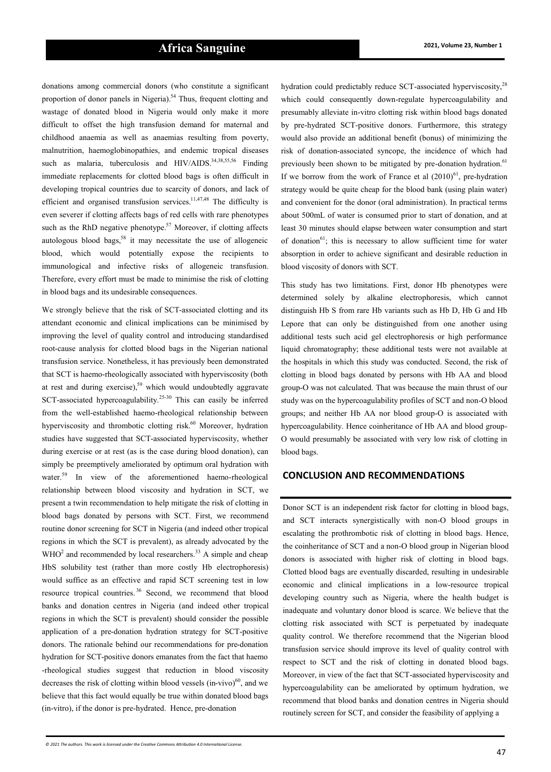donations among commercial donors (who constitute a significant proportion of donor panels in Nigeria).<sup>54</sup> Thus, frequent clotting and wastage of donated blood in Nigeria would only make it more difficult to offset the high transfusion demand for maternal and childhood anaemia as well as anaemias resulting from poverty, malnutrition, haemoglobinopathies, and endemic tropical diseases such as malaria, tuberculosis and HIV/AIDS.<sup>34,38,55,56</sup> Finding immediate replacements for clotted blood bags is often difficult in developing tropical countries due to scarcity of donors, and lack of efficient and organised transfusion services.<sup>11,47,48</sup> The difficulty is even severer if clotting affects bags of red cells with rare phenotypes such as the RhD negative phenotype.<sup>57</sup> Moreover, if clotting affects autologous blood bags,<sup>58</sup> it may necessitate the use of allogeneic blood, which would potentially expose the recipients to immunological and infective risks of allogeneic transfusion. Therefore, every effort must be made to minimise the risk of clotting in blood bags and its undesirable consequences.

We strongly believe that the risk of SCT-associated clotting and its attendant economic and clinical implications can be minimised by improving the level of quality control and introducing standardised root-cause analysis for clotted blood bags in the Nigerian national transfusion service. Nonetheless, it has previously been demonstrated that SCT is haemo-rheologically associated with hyperviscosity (both at rest and during exercise), $59$  which would undoubtedly aggravate SCT-associated hypercoagulability.<sup>25-30</sup> This can easily be inferred from the well-established haemo-rheological relationship between hyperviscosity and thrombotic clotting risk.<sup>60</sup> Moreover, hydration studies have suggested that SCT-associated hyperviscosity, whether during exercise or at rest (as is the case during blood donation), can simply be preemptively ameliorated by optimum oral hydration with water.<sup>59</sup> In view of the aforementioned haemo-rheological relationship between blood viscosity and hydration in SCT, we present a twin recommendation to help mitigate the risk of clotting in blood bags donated by persons with SCT. First, we recommend routine donor screening for SCT in Nigeria (and indeed other tropical regions in which the SCT is prevalent), as already advocated by the  $\text{WHO}^2$  and recommended by local researchers.<sup>33</sup> A simple and cheap HbS solubility test (rather than more costly Hb electrophoresis) would suffice as an effective and rapid SCT screening test in low resource tropical countries. <sup>36</sup> Second, we recommend that blood banks and donation centres in Nigeria (and indeed other tropical regions in which the SCT is prevalent) should consider the possible application of a pre-donation hydration strategy for SCT-positive donors. The rationale behind our recommendations for pre-donation hydration for SCT-positive donors emanates from the fact that haemo -rheological studies suggest that reduction in blood viscosity decreases the risk of clotting within blood vessels  $(in-vivo)^{60}$ , and we believe that this fact would equally be true within donated blood bags (in-vitro), if the donor is pre-hydrated. Hence, pre-donation

hydration could predictably reduce SCT-associated hyperviscosity,<sup>28</sup> which could consequently down-regulate hypercoagulability and presumably alleviate in-vitro clotting risk within blood bags donated by pre-hydrated SCT-positive donors. Furthermore, this strategy would also provide an additional benefit (bonus) of minimizing the risk of donation-associated syncope, the incidence of which had previously been shown to be mitigated by pre-donation hydration.<sup>61</sup> If we borrow from the work of France et al  $(2010)^{61}$ , pre-hydration strategy would be quite cheap for the blood bank (using plain water) and convenient for the donor (oral administration). In practical terms about 500mL of water is consumed prior to start of donation, and at least 30 minutes should elapse between water consumption and start of donation $^{61}$ ; this is necessary to allow sufficient time for water absorption in order to achieve significant and desirable reduction in blood viscosity of donors with SCT.

This study has two limitations. First, donor Hb phenotypes were determined solely by alkaline electrophoresis, which cannot distinguish Hb S from rare Hb variants such as Hb D, Hb G and Hb Lepore that can only be distinguished from one another using additional tests such acid gel electrophoresis or high performance liquid chromatography; these additional tests were not available at the hospitals in which this study was conducted. Second, the risk of clotting in blood bags donated by persons with Hb AA and blood group-O was not calculated. That was because the main thrust of our study was on the hypercoagulability profiles of SCT and non-O blood groups; and neither Hb AA nor blood group-O is associated with hypercoagulability. Hence coinheritance of Hb AA and blood group-O would presumably be associated with very low risk of clotting in blood bags.

# **CONCLUSION AND RECOMMENDATIONS**

Donor SCT is an independent risk factor for clotting in blood bags, and SCT interacts synergistically with non-O blood groups in escalating the prothrombotic risk of clotting in blood bags. Hence, the coinheritance of SCT and a non-O blood group in Nigerian blood donors is associated with higher risk of clotting in blood bags. Clotted blood bags are eventually discarded, resulting in undesirable economic and clinical implications in a low-resource tropical developing country such as Nigeria, where the health budget is inadequate and voluntary donor blood is scarce. We believe that the clotting risk associated with SCT is perpetuated by inadequate quality control. We therefore recommend that the Nigerian blood transfusion service should improve its level of quality control with respect to SCT and the risk of clotting in donated blood bags. Moreover, in view of the fact that SCT-associated hyperviscosity and hypercoagulability can be ameliorated by optimum hydration, we recommend that blood banks and donation centres in Nigeria should routinely screen for SCT, and consider the feasibility of applying a